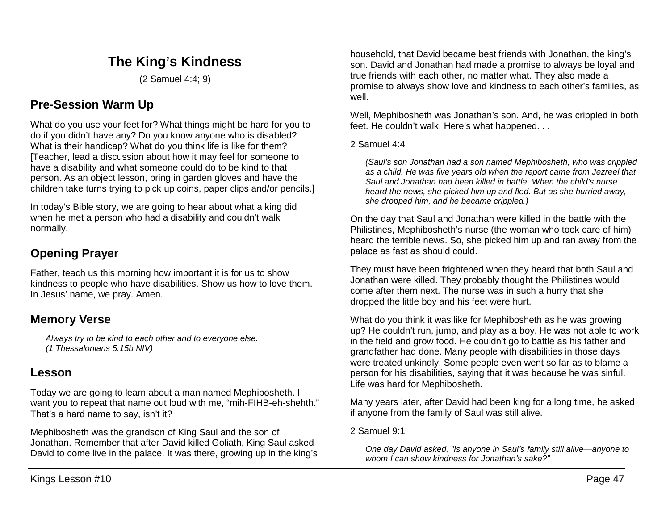# **The King's Kindness**

(2 Samuel 4:4; 9)

# **Pre-Session Warm Up**

What do you use your feet for? What things might be hard for you to do if you didn't have any? Do you know anyone who is disabled? What is their handicap? What do you think life is like for them? [Teacher, lead a discussion about how it may feel for someone to have a disability and what someone could do to be kind to that person. As an object lesson, bring in garden gloves and have the children take turns trying to pick up coins, paper clips and/or pencils.]

In today's Bible story, we are going to hear about what a king did when he met a person who had a disability and couldn't walk normally.

# **Opening Prayer**

Father, teach us this morning how important it is for us to show kindness to people who have disabilities. Show us how to love them. In Jesus' name, we pray. Amen.

## **Memory Verse**

*Always try to be kind to each other and to everyone else. (1 Thessalonians 5:15b NIV)*

### **Lesson**

Today we are going to learn about a man named Mephibosheth. I want you to repeat that name out loud with me, "mih-FIHB-eh-shehth." That's a hard name to say, isn't it?

Mephibosheth was the grandson of King Saul and the son of Jonathan. Remember that after David killed Goliath, King Saul asked David to come live in the palace. It was there, growing up in the king's

household, that David became best friends with Jonathan, the king's son. David and Jonathan had made a promise to always be loyal and true friends with each other, no matter what. They also made a promise to always show love and kindness to each other's families, as well.

Well, Mephibosheth was Jonathan's son. And, he was crippled in both feet. He couldn't walk. Here's what happened. . .

### 2 Samuel 4:4

*(Saul's son Jonathan had a son named Mephibosheth, who was crippled as a child. He was five years old when the report came from Jezreel that Saul and Jonathan had been killed in battle. When the child's nurse heard the news, she picked him up and fled. But as she hurried away, she dropped him, and he became crippled.)*

On the day that Saul and Jonathan were killed in the battle with the Philistines, Mephibosheth's nurse (the woman who took care of him) heard the terrible news. So, she picked him up and ran away from the palace as fast as should could.

They must have been frightened when they heard that both Saul and Jonathan were killed. They probably thought the Philistines would come after them next. The nurse was in such a hurry that she dropped the little boy and his feet were hurt.

What do you think it was like for Mephibosheth as he was growing up? He couldn't run, jump, and play as a boy. He was not able to work in the field and grow food. He couldn't go to battle as his father and grandfather had done. Many people with disabilities in those days were treated unkindly. Some people even went so far as to blame a person for his disabilities, saying that it was because he was sinful. Life was hard for Mephibosheth.

Many years later, after David had been king for a long time, he asked if anyone from the family of Saul was still alive.

2 Samuel 9:1

*One day David asked, "Is anyone in Saul's family still alive—anyone to whom I can show kindness for Jonathan's sake?"*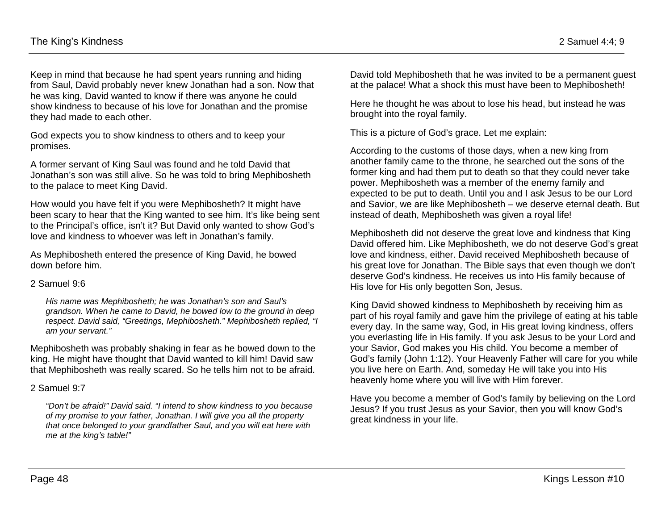Keep in mind that because he had spent years running and hiding from Saul, David probably never knew Jonathan had a son. Now that he was king, David wanted to know if there was anyone he could show kindness to because of his love for Jonathan and the promise they had made to each other.

God expects you to show kindness to others and to keep your promises.

A former servant of King Saul was found and he told David that Jonathan's son was still alive. So he was told to bring Mephibosheth to the palace to meet King David.

How would you have felt if you were Mephibosheth? It might have been scary to hear that the King wanted to see him. It's like being sent to the Principal's office, isn't it? But David only wanted to show God's love and kindness to whoever was left in Jonathan's family.

As Mephibosheth entered the presence of King David, he bowed down before him.

#### 2 Samuel 9:6

*His name was Mephibosheth; he was Jonathan's son and Saul's grandson. When he came to David, he bowed low to the ground in deep respect. David said, "Greetings, Mephibosheth." Mephibosheth replied, "I am your servant."*

Mephibosheth was probably shaking in fear as he bowed down to the king. He might have thought that David wanted to kill him! David saw that Mephibosheth was really scared. So he tells him not to be afraid.

### 2 Samuel 9:7

*"Don't be afraid!" David said. "I intend to show kindness to you because of my promise to your father, Jonathan. I will give you all the property that once belonged to your grandfather Saul, and you will eat here with me at the king's table!"*

David told Mephibosheth that he was invited to be a permanent guest at the palace! What a shock this must have been to Mephibosheth!

Here he thought he was about to lose his head, but instead he was brought into the royal family.

This is a picture of God's grace. Let me explain:

According to the customs of those days, when a new king from another family came to the throne, he searched out the sons of the former king and had them put to death so that they could never take power. Mephibosheth was a member of the enemy family and expected to be put to death. Until you and I ask Jesus to be our Lord and Savior, we are like Mephibosheth – we deserve eternal death. But instead of death, Mephibosheth was given a royal life!

Mephibosheth did not deserve the great love and kindness that King David offered him. Like Mephibosheth, we do not deserve God's great love and kindness, either. David received Mephibosheth because of his great love for Jonathan. The Bible says that even though we don't deserve God's kindness. He receives us into His family because of His love for His only begotten Son, Jesus.

King David showed kindness to Mephibosheth by receiving him as part of his royal family and gave him the privilege of eating at his table every day. In the same way, God, in His great loving kindness, offers you everlasting life in His family. If you ask Jesus to be your Lord and your Savior, God makes you His child. You become a member of God's family (John 1:12). Your Heavenly Father will care for you while you live here on Earth. And, someday He will take you into His heavenly home where you will live with Him forever.

Have you become a member of God's family by believing on the Lord Jesus? If you trust Jesus as your Savior, then you will know God's great kindness in your life.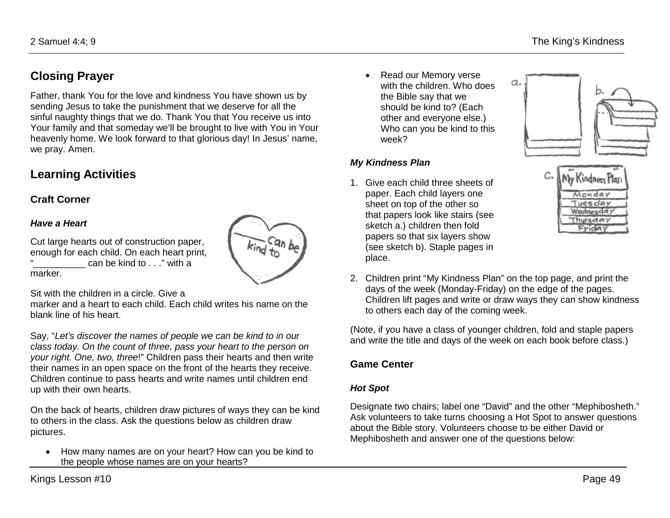# **Closing Prayer**

Father, thank You for the love and kindness You have shown us by sending Jesus to take the punishment that we deserve for all the sinful naughty things that we do. Thank You that You receive us into Your family and that someday we'll be brought to live with You in Your heavenly home. We look forward to that glorious day! In Jesus' name, we pray. Amen.

### **Learning Activities**

### **Craft Corner**

### *Have a Heart*

Cut large hearts out of construction paper, enough for each child. On each heart print, can be kind to . . ." with a marker.

 $k$ ind to

Sit with the children in a circle. Give a

marker and a heart to each child. Each child writes his name on the blank line of his heart.

Say, "*Let's discover the names of people we can be kind to in our class today. On the count of three, pass your heart to the person on your right. One, two, three*!" Children pass their hearts and then write their names in an open space on the front of the hearts they receive. Children continue to pass hearts and write names until children end up with their own hearts.

On the back of hearts, children draw pictures of ways they can be kind to others in the class. Ask the questions below as children draw pictures.

• How many names are on your heart? How can you be kind to the people whose names are on your hearts?

• Read our Memory verse with the children. Who does the Bible say that we should be kind to? (Each other and everyone else.) Who can you be kind to this week?

### *My Kindness Plan*

1. Give each child three sheets of paper. Each child layers one sheet on top of the other so that papers look like stairs (see sketch a.) children then fold papers so that six layers show (see sketch b). Staple pages in place.





2. Children print "My Kindness Plan" on the top page, and print the days of the week (Monday-Friday) on the edge of the pages. Children lift pages and write or draw ways they can show kindness to others each day of the coming week.

(Note, if you have a class of younger children, fold and staple papers and write the title and days of the week on each book before class.)

### **Game Center**

### *Hot Spot*

Designate two chairs; label one "David" and the other "Mephibosheth." Ask volunteers to take turns choosing a Hot Spot to answer questions about the Bible story. Volunteers choose to be either David or Mephibosheth and answer one of the questions below: